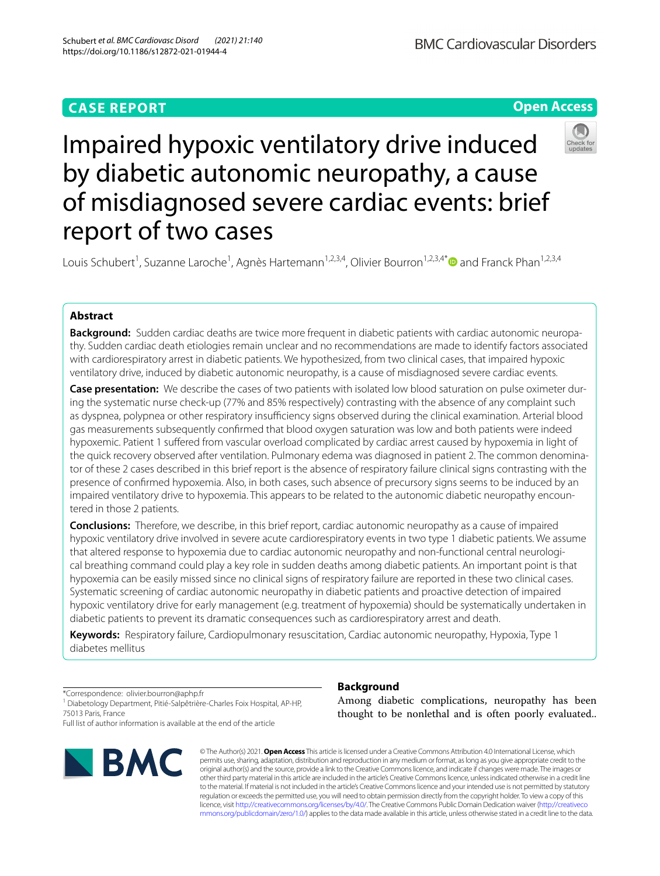# **CASE REPORT**

**Open Access**

# Impaired hypoxic ventilatory drive induced by diabetic autonomic neuropathy, a cause of misdiagnosed severe cardiac events: brief report of two cases

Louis Schubert<sup>1</sup>, Suzanne Laroche<sup>1</sup>, Agnès Hartemann<sup>1,2,3,4</sup>, Olivier Bourron<sup>1,2,3,4[\\*](http://orcid.org/0000-0001-7348-7161)</sup> and Franck Phan<sup>1,2,3,4</sup>

# **Abstract**

**Background:** Sudden cardiac deaths are twice more frequent in diabetic patients with cardiac autonomic neuropathy. Sudden cardiac death etiologies remain unclear and no recommendations are made to identify factors associated with cardiorespiratory arrest in diabetic patients. We hypothesized, from two clinical cases, that impaired hypoxic ventilatory drive, induced by diabetic autonomic neuropathy, is a cause of misdiagnosed severe cardiac events.

**Case presentation:** We describe the cases of two patients with isolated low blood saturation on pulse oximeter during the systematic nurse check-up (77% and 85% respectively) contrasting with the absence of any complaint such as dyspnea, polypnea or other respiratory insufficiency signs observed during the clinical examination. Arterial blood gas measurements subsequently confrmed that blood oxygen saturation was low and both patients were indeed hypoxemic. Patient 1 sufered from vascular overload complicated by cardiac arrest caused by hypoxemia in light of the quick recovery observed after ventilation. Pulmonary edema was diagnosed in patient 2. The common denominator of these 2 cases described in this brief report is the absence of respiratory failure clinical signs contrasting with the presence of confrmed hypoxemia. Also, in both cases, such absence of precursory signs seems to be induced by an impaired ventilatory drive to hypoxemia. This appears to be related to the autonomic diabetic neuropathy encountered in those 2 patients.

**Conclusions:** Therefore, we describe, in this brief report, cardiac autonomic neuropathy as a cause of impaired hypoxic ventilatory drive involved in severe acute cardiorespiratory events in two type 1 diabetic patients. We assume that altered response to hypoxemia due to cardiac autonomic neuropathy and non-functional central neurological breathing command could play a key role in sudden deaths among diabetic patients. An important point is that hypoxemia can be easily missed since no clinical signs of respiratory failure are reported in these two clinical cases. Systematic screening of cardiac autonomic neuropathy in diabetic patients and proactive detection of impaired hypoxic ventilatory drive for early management (e.g. treatment of hypoxemia) should be systematically undertaken in diabetic patients to prevent its dramatic consequences such as cardiorespiratory arrest and death.

**Keywords:** Respiratory failure, Cardiopulmonary resuscitation, Cardiac autonomic neuropathy, Hypoxia, Type 1 diabetes mellitus

\*Correspondence: olivier.bourron@aphp.fr

<sup>1</sup> Diabetology Department, Pitié-Salpêtrière-Charles Foix Hospital, AP-HP, 75013 Paris, France

Full list of author information is available at the end of the article



## **Background**

Among diabetic complications, neuropathy has been thought to be nonlethal and is often poorly evaluated..

© The Author(s) 2021. **Open Access** This article is licensed under a Creative Commons Attribution 4.0 International License, which permits use, sharing, adaptation, distribution and reproduction in any medium or format, as long as you give appropriate credit to the original author(s) and the source, provide a link to the Creative Commons licence, and indicate if changes were made. The images or other third party material in this article are included in the article's Creative Commons licence, unless indicated otherwise in a credit line to the material. If material is not included in the article's Creative Commons licence and your intended use is not permitted by statutory regulation or exceeds the permitted use, you will need to obtain permission directly from the copyright holder. To view a copy of this licence, visit [http://creativecommons.org/licenses/by/4.0/.](http://creativecommons.org/licenses/by/4.0/) The Creative Commons Public Domain Dedication waiver ([http://creativeco](http://creativecommons.org/publicdomain/zero/1.0/) [mmons.org/publicdomain/zero/1.0/](http://creativecommons.org/publicdomain/zero/1.0/)) applies to the data made available in this article, unless otherwise stated in a credit line to the data.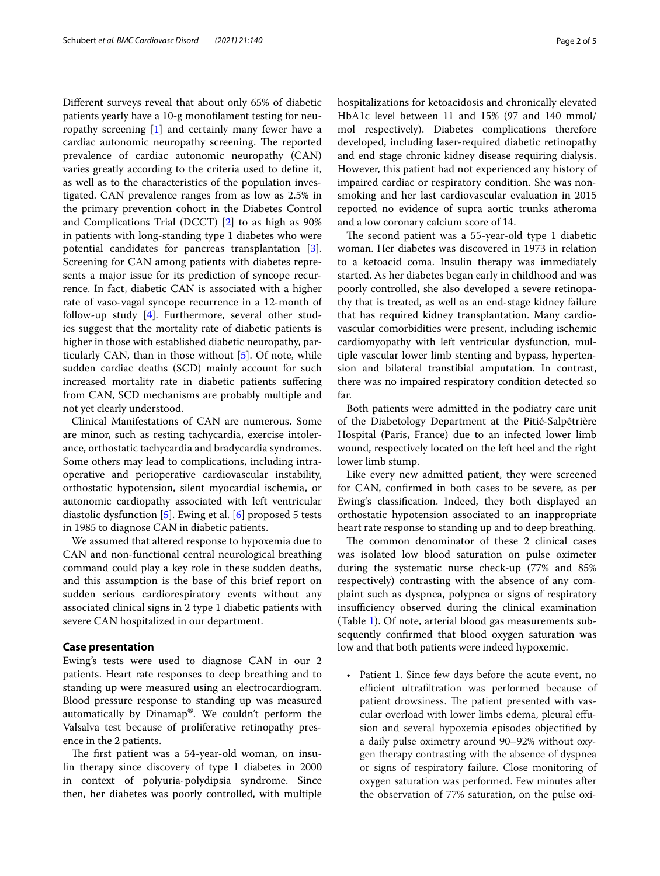Diferent surveys reveal that about only 65% of diabetic patients yearly have a 10-g monoflament testing for neuropathy screening [[1\]](#page-3-0) and certainly many fewer have a cardiac autonomic neuropathy screening. The reported prevalence of cardiac autonomic neuropathy (CAN) varies greatly according to the criteria used to defne it, as well as to the characteristics of the population investigated. CAN prevalence ranges from as low as 2.5% in the primary prevention cohort in the Diabetes Control and Complications Trial (DCCT) [[2\]](#page-3-1) to as high as 90% in patients with long-standing type 1 diabetes who were potential candidates for pancreas transplantation [\[3](#page-3-2)]. Screening for CAN among patients with diabetes represents a major issue for its prediction of syncope recurrence. In fact, diabetic CAN is associated with a higher rate of vaso-vagal syncope recurrence in a 12-month of follow-up study [\[4](#page-3-3)]. Furthermore, several other studies suggest that the mortality rate of diabetic patients is higher in those with established diabetic neuropathy, particularly CAN, than in those without [\[5](#page-3-4)]. Of note, while sudden cardiac deaths (SCD) mainly account for such increased mortality rate in diabetic patients sufering from CAN, SCD mechanisms are probably multiple and not yet clearly understood.

Clinical Manifestations of CAN are numerous. Some are minor, such as resting tachycardia, exercise intolerance, orthostatic tachycardia and bradycardia syndromes. Some others may lead to complications, including intraoperative and perioperative cardiovascular instability, orthostatic hypotension, silent myocardial ischemia, or autonomic cardiopathy associated with left ventricular diastolic dysfunction [[5](#page-3-4)]. Ewing et al. [\[6\]](#page-3-5) proposed 5 tests in 1985 to diagnose CAN in diabetic patients.

We assumed that altered response to hypoxemia due to CAN and non-functional central neurological breathing command could play a key role in these sudden deaths, and this assumption is the base of this brief report on sudden serious cardiorespiratory events without any associated clinical signs in 2 type 1 diabetic patients with severe CAN hospitalized in our department.

## **Case presentation**

Ewing's tests were used to diagnose CAN in our 2 patients. Heart rate responses to deep breathing and to standing up were measured using an electrocardiogram. Blood pressure response to standing up was measured automatically by Dinamap®. We couldn't perform the Valsalva test because of proliferative retinopathy presence in the 2 patients.

The first patient was a 54-year-old woman, on insulin therapy since discovery of type 1 diabetes in 2000 in context of polyuria-polydipsia syndrome. Since then, her diabetes was poorly controlled, with multiple hospitalizations for ketoacidosis and chronically elevated HbA1c level between 11 and 15% (97 and 140 mmol/ mol respectively). Diabetes complications therefore developed, including laser-required diabetic retinopathy and end stage chronic kidney disease requiring dialysis. However, this patient had not experienced any history of impaired cardiac or respiratory condition. She was nonsmoking and her last cardiovascular evaluation in 2015 reported no evidence of supra aortic trunks atheroma and a low coronary calcium score of 14.

The second patient was a 55-year-old type 1 diabetic woman. Her diabetes was discovered in 1973 in relation to a ketoacid coma. Insulin therapy was immediately started. As her diabetes began early in childhood and was poorly controlled, she also developed a severe retinopathy that is treated, as well as an end-stage kidney failure that has required kidney transplantation. Many cardiovascular comorbidities were present, including ischemic cardiomyopathy with left ventricular dysfunction, multiple vascular lower limb stenting and bypass, hypertension and bilateral transtibial amputation. In contrast, there was no impaired respiratory condition detected so far.

Both patients were admitted in the podiatry care unit of the Diabetology Department at the Pitié-Salpêtrière Hospital (Paris, France) due to an infected lower limb wound, respectively located on the left heel and the right lower limb stump.

Like every new admitted patient, they were screened for CAN, confrmed in both cases to be severe, as per Ewing's classifcation. Indeed, they both displayed an orthostatic hypotension associated to an inappropriate heart rate response to standing up and to deep breathing.

The common denominator of these 2 clinical cases was isolated low blood saturation on pulse oximeter during the systematic nurse check-up (77% and 85% respectively) contrasting with the absence of any complaint such as dyspnea, polypnea or signs of respiratory insufficiency observed during the clinical examination (Table [1](#page-2-0)). Of note, arterial blood gas measurements subsequently confrmed that blood oxygen saturation was low and that both patients were indeed hypoxemic.

• Patient 1. Since few days before the acute event, no efficient ultrafiltration was performed because of patient drowsiness. The patient presented with vascular overload with lower limbs edema, pleural efusion and several hypoxemia episodes objectifed by a daily pulse oximetry around 90–92% without oxygen therapy contrasting with the absence of dyspnea or signs of respiratory failure. Close monitoring of oxygen saturation was performed. Few minutes after the observation of 77% saturation, on the pulse oxi-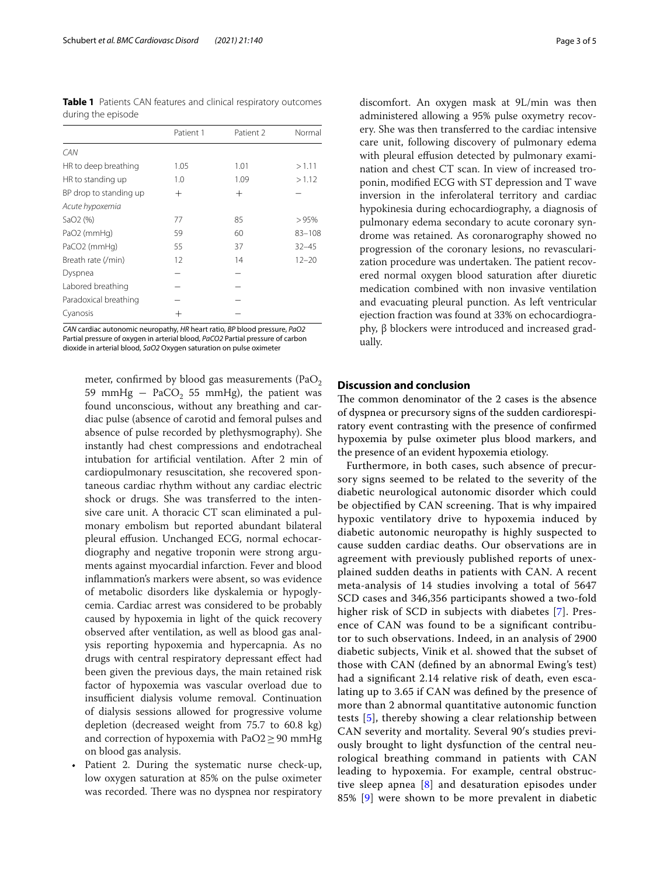<span id="page-2-0"></span>**Table 1** Patients CAN features and clinical respiratory outcomes during the episode

|                        | Patient 1 | Patient 2 | Normal     |
|------------------------|-----------|-----------|------------|
| CAN                    |           |           |            |
| HR to deep breathing   | 1.05      | 1.01      | >1.11      |
| HR to standing up      | 1.0       | 1.09      | >1.12      |
| BP drop to standing up | $^{+}$    | $^{+}$    |            |
| Acute hypoxemia        |           |           |            |
| SaO2 (%)               | 77        | 85        | >95%       |
| PaO2 (mmHg)            | 59        | 60        | $83 - 108$ |
| PaCO2 (mmHg)           | 55        | 37        | $32 - 45$  |
| Breath rate (/min)     | 12        | 14        | $12 - 20$  |
| Dyspnea                |           |           |            |
| Labored breathing      |           |           |            |
| Paradoxical breathing  |           |           |            |
| Cyanosis               |           |           |            |

*CAN* cardiac autonomic neuropathy, *HR* heart ratio, *BP* blood pressure, *PaO2* Partial pressure of oxygen in arterial blood, *PaCO2* Partial pressure of carbon dioxide in arterial blood, *SaO2* Oxygen saturation on pulse oximeter

meter, confirmed by blood gas measurements (Pa $O_2$ ) 59 mmHg  $-$  PaCO<sub>2</sub> 55 mmHg), the patient was found unconscious, without any breathing and cardiac pulse (absence of carotid and femoral pulses and absence of pulse recorded by plethysmography). She instantly had chest compressions and endotracheal intubation for artifcial ventilation. After 2 min of cardiopulmonary resuscitation, she recovered spontaneous cardiac rhythm without any cardiac electric shock or drugs. She was transferred to the intensive care unit. A thoracic CT scan eliminated a pulmonary embolism but reported abundant bilateral pleural efusion. Unchanged ECG, normal echocardiography and negative troponin were strong arguments against myocardial infarction. Fever and blood infammation's markers were absent, so was evidence of metabolic disorders like dyskalemia or hypoglycemia. Cardiac arrest was considered to be probably caused by hypoxemia in light of the quick recovery observed after ventilation, as well as blood gas analysis reporting hypoxemia and hypercapnia. As no drugs with central respiratory depressant efect had been given the previous days, the main retained risk factor of hypoxemia was vascular overload due to insufficient dialysis volume removal. Continuation of dialysis sessions allowed for progressive volume depletion (decreased weight from 75.7 to 60.8 kg) and correction of hypoxemia with  $PaO2 \geq 90$  mmHg on blood gas analysis.

Patient 2. During the systematic nurse check-up, low oxygen saturation at 85% on the pulse oximeter was recorded. There was no dyspnea nor respiratory

discomfort. An oxygen mask at 9L/min was then administered allowing a 95% pulse oxymetry recovery. She was then transferred to the cardiac intensive care unit, following discovery of pulmonary edema with pleural effusion detected by pulmonary examination and chest CT scan. In view of increased troponin, modifed ECG with ST depression and T wave inversion in the inferolateral territory and cardiac hypokinesia during echocardiography, a diagnosis of pulmonary edema secondary to acute coronary syndrome was retained. As coronarography showed no progression of the coronary lesions, no revascularization procedure was undertaken. The patient recovered normal oxygen blood saturation after diuretic medication combined with non invasive ventilation and evacuating pleural punction. As left ventricular ejection fraction was found at 33% on echocardiography, β blockers were introduced and increased gradually.

## **Discussion and conclusion**

The common denominator of the 2 cases is the absence of dyspnea or precursory signs of the sudden cardiorespiratory event contrasting with the presence of confrmed hypoxemia by pulse oximeter plus blood markers, and the presence of an evident hypoxemia etiology.

Furthermore, in both cases, such absence of precursory signs seemed to be related to the severity of the diabetic neurological autonomic disorder which could be objectified by CAN screening. That is why impaired hypoxic ventilatory drive to hypoxemia induced by diabetic autonomic neuropathy is highly suspected to cause sudden cardiac deaths. Our observations are in agreement with previously published reports of unexplained sudden deaths in patients with CAN. A recent meta-analysis of 14 studies involving a total of 5647 SCD cases and 346,356 participants showed a two-fold higher risk of SCD in subjects with diabetes [[7\]](#page-3-6). Presence of CAN was found to be a signifcant contributor to such observations. Indeed, in an analysis of 2900 diabetic subjects, Vinik et al. showed that the subset of those with CAN (defned by an abnormal Ewing's test) had a signifcant 2.14 relative risk of death, even escalating up to 3.65 if CAN was defned by the presence of more than 2 abnormal quantitative autonomic function tests [[5\]](#page-3-4), thereby showing a clear relationship between CAN severity and mortality. Several 90′s studies previously brought to light dysfunction of the central neurological breathing command in patients with CAN leading to hypoxemia. For example, central obstructive sleep apnea [[8](#page-3-7)] and desaturation episodes under 85% [[9](#page-3-8)] were shown to be more prevalent in diabetic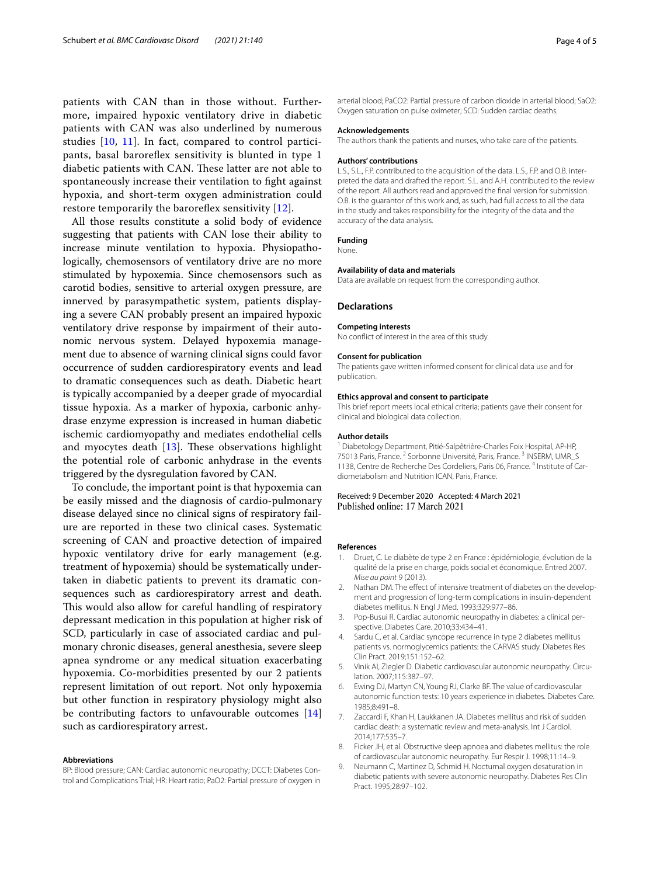patients with CAN than in those without. Furthermore, impaired hypoxic ventilatory drive in diabetic patients with CAN was also underlined by numerous studies [[10,](#page-4-0) [11](#page-4-1)]. In fact, compared to control participants, basal baroreflex sensitivity is blunted in type 1 diabetic patients with CAN. These latter are not able to spontaneously increase their ventilation to fght against hypoxia, and short-term oxygen administration could restore temporarily the baroreflex sensitivity [[12\]](#page-4-2).

All those results constitute a solid body of evidence suggesting that patients with CAN lose their ability to increase minute ventilation to hypoxia. Physiopathologically, chemosensors of ventilatory drive are no more stimulated by hypoxemia. Since chemosensors such as carotid bodies, sensitive to arterial oxygen pressure, are innerved by parasympathetic system, patients displaying a severe CAN probably present an impaired hypoxic ventilatory drive response by impairment of their autonomic nervous system. Delayed hypoxemia management due to absence of warning clinical signs could favor occurrence of sudden cardiorespiratory events and lead to dramatic consequences such as death. Diabetic heart is typically accompanied by a deeper grade of myocardial tissue hypoxia. As a marker of hypoxia, carbonic anhydrase enzyme expression is increased in human diabetic ischemic cardiomyopathy and mediates endothelial cells and myocytes death  $[13]$  $[13]$ . These observations highlight the potential role of carbonic anhydrase in the events triggered by the dysregulation favored by CAN.

To conclude, the important point is that hypoxemia can be easily missed and the diagnosis of cardio-pulmonary disease delayed since no clinical signs of respiratory failure are reported in these two clinical cases. Systematic screening of CAN and proactive detection of impaired hypoxic ventilatory drive for early management (e.g. treatment of hypoxemia) should be systematically undertaken in diabetic patients to prevent its dramatic consequences such as cardiorespiratory arrest and death. This would also allow for careful handling of respiratory depressant medication in this population at higher risk of SCD, particularly in case of associated cardiac and pulmonary chronic diseases, general anesthesia, severe sleep apnea syndrome or any medical situation exacerbating hypoxemia. Co-morbidities presented by our 2 patients represent limitation of out report. Not only hypoxemia but other function in respiratory physiology might also be contributing factors to unfavourable outcomes [[14](#page-4-4)] such as cardiorespiratory arrest.

#### **Abbreviations**

BP: Blood pressure; CAN: Cardiac autonomic neuropathy; DCCT: Diabetes Control and Complications Trial; HR: Heart ratio; PaO2: Partial pressure of oxygen in

arterial blood; PaCO2: Partial pressure of carbon dioxide in arterial blood; SaO2: Oxygen saturation on pulse oximeter; SCD: Sudden cardiac deaths.

#### **Acknowledgements**

The authors thank the patients and nurses, who take care of the patients.

#### **Authors' contributions**

L.S., S.L., F.P. contributed to the acquisition of the data. L.S., F.P. and O.B. interpreted the data and drafted the report. S.L. and A.H. contributed to the review of the report. All authors read and approved the fnal version for submission. O.B. is the guarantor of this work and, as such, had full access to all the data in the study and takes responsibility for the integrity of the data and the accuracy of the data analysis.

#### **Funding**

None.

#### **Availability of data and materials**

Data are available on request from the corresponding author.

#### **Declarations**

#### **Competing interests**

No confict of interest in the area of this study.

#### **Consent for publication**

The patients gave written informed consent for clinical data use and for publication.

#### **Ethics approval and consent to participate**

This brief report meets local ethical criteria; patients gave their consent for clinical and biological data collection.

#### **Author details**

<sup>1</sup> Diabetology Department, Pitié-Salpêtrière-Charles Foix Hospital, AP-HP, 75013 Paris, France.<sup>2</sup> Sorbonne Université, Paris, France.<sup>3</sup> INSERM, UMR\_S 1138, Centre de Recherche Des Cordeliers, Paris 06, France. 4 Institute of Cardiometabolism and Nutrition ICAN, Paris, France.

### Received: 9 December 2020 Accepted: 4 March 2021 Published online: 17 March 2021

#### **References**

- <span id="page-3-0"></span>1. Druet, C. Le diabète de type 2 en France : épidémiologie, évolution de la qualité de la prise en charge, poids social et économique. Entred 2007. *Mise au point* 9 (2013).
- <span id="page-3-1"></span>2. Nathan DM. The effect of intensive treatment of diabetes on the development and progression of long-term complications in insulin-dependent diabetes mellitus. N Engl J Med. 1993;329:977–86.
- <span id="page-3-2"></span>3. Pop-Busui R. Cardiac autonomic neuropathy in diabetes: a clinical perspective. Diabetes Care. 2010;33:434–41.
- <span id="page-3-3"></span>4. Sardu C, et al. Cardiac syncope recurrence in type 2 diabetes mellitus patients vs. normoglycemics patients: the CARVAS study. Diabetes Res Clin Pract. 2019;151:152–62.
- <span id="page-3-4"></span>5. Vinik AI, Ziegler D. Diabetic cardiovascular autonomic neuropathy. Circulation. 2007;115:387–97.
- <span id="page-3-5"></span>6. Ewing DJ, Martyn CN, Young RJ, Clarke BF. The value of cardiovascular autonomic function tests: 10 years experience in diabetes. Diabetes Care. 1985;8:491–8.
- <span id="page-3-6"></span>7. Zaccardi F, Khan H, Laukkanen JA. Diabetes mellitus and risk of sudden cardiac death: a systematic review and meta-analysis. Int J Cardiol. 2014;177:535–7.
- <span id="page-3-7"></span>8. Ficker JH, et al. Obstructive sleep apnoea and diabetes mellitus: the role of cardiovascular autonomic neuropathy. Eur Respir J. 1998;11:14–9.
- <span id="page-3-8"></span>9. Neumann C, Martinez D, Schmid H. Nocturnal oxygen desaturation in diabetic patients with severe autonomic neuropathy. Diabetes Res Clin Pract. 1995;28:97–102.